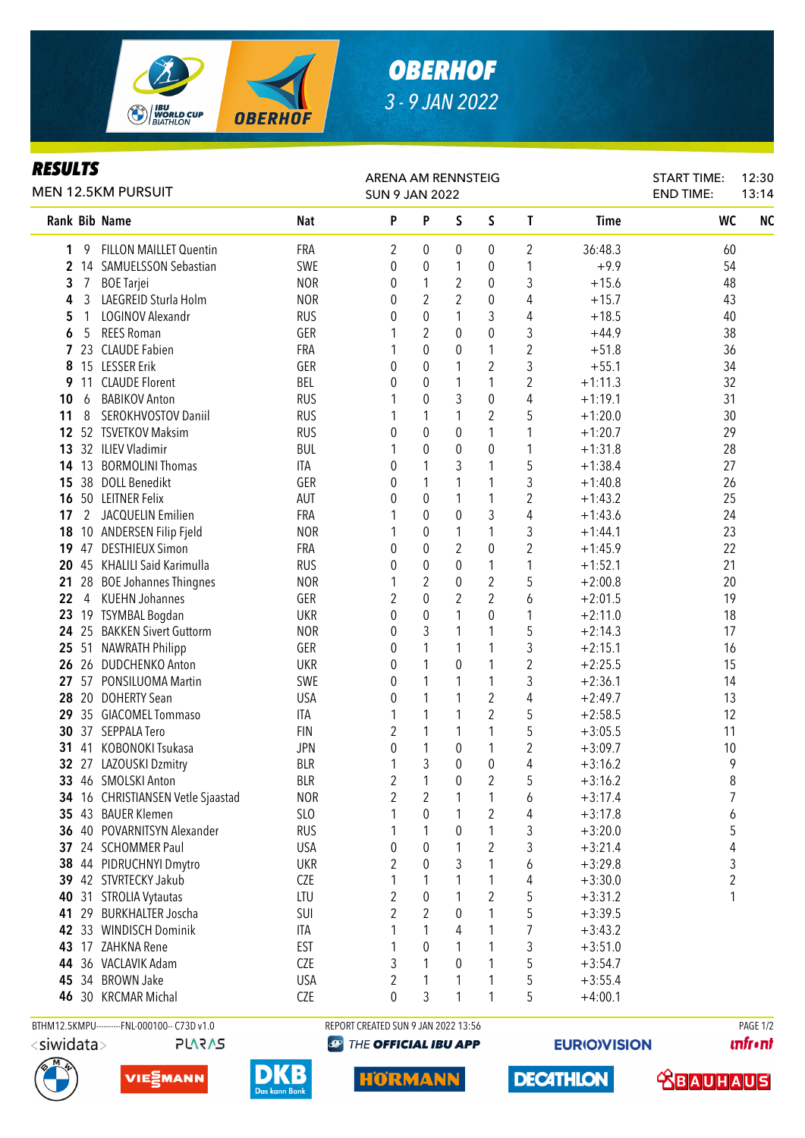

## *OBERHOF 3 - 9 JAN 2022*

## *RESULTS*

| <b>MEN 12.5KM PURSUIT</b> |                                          |                   | ARENA AM RENNSTEIG<br><b>SUN 9 JAN 2022</b> |                                  |                | <b>START TIME:</b><br><b>END TIME:</b> | 12:30<br>13:14          |                        |          |           |
|---------------------------|------------------------------------------|-------------------|---------------------------------------------|----------------------------------|----------------|----------------------------------------|-------------------------|------------------------|----------|-----------|
| Rank Bib Name             |                                          | Nat               | P                                           | P                                | S              | S                                      | L                       | <b>Time</b>            | WC       | <b>NC</b> |
| 1<br>9                    | <b>FILLON MAILLET Quentin</b>            | <b>FRA</b>        | 2                                           | 0                                | 0              | 0                                      | 2                       | 36:48.3                | 60       |           |
|                           | 2 14 SAMUELSSON Sebastian                | SWE               | 0                                           | 0                                | 1              | 0                                      | 1                       | $+9.9$                 | 54       |           |
| 3<br>7                    | <b>BOE</b> Tarjei                        | <b>NOR</b>        | 0                                           | 1                                | 2              | 0                                      | 3                       | $+15.6$                | 48       |           |
| 4<br>3                    | LAEGREID Sturla Holm                     | <b>NOR</b>        | 0                                           | 2                                | 2              | 0                                      | 4                       | $+15.7$                | 43       |           |
| 5<br>1                    | LOGINOV Alexandr                         | <b>RUS</b>        | 0                                           | 0                                | 1              | 3                                      | 4                       | $+18.5$                | 40       |           |
| 6<br>5                    | <b>REES Roman</b>                        | GER               |                                             | $\overline{2}$                   | 0              | 0                                      | 3                       | $+44.9$                | 38       |           |
| 7<br>23                   | <b>CLAUDE Fabien</b>                     | FRA               | 1                                           | 0                                | 0              | 1                                      | 2                       | $+51.8$                | 36       |           |
| 8                         | 15 LESSER Erik                           | GER               | 0                                           | 0                                | 1              | $\overline{2}$                         | 3                       | $+55.1$                | 34       |           |
| 11<br>9                   | <b>CLAUDE Florent</b>                    | BEL               | 0                                           | 0                                | 1              | 1                                      | $\overline{\mathbf{c}}$ | $+1:11.3$              | 32       |           |
| 10<br>6                   | <b>BABIKOV Anton</b>                     | <b>RUS</b>        |                                             | 0                                | 3              | $\pmb{0}$                              | 4                       | $+1:19.1$              | 31       |           |
| 8<br>11                   | SEROKHVOSTOV Daniil                      | <b>RUS</b>        |                                             | 1                                | 1              | 2                                      | 5                       | $+1:20.0$              | 30       |           |
|                           | 12 52 TSVETKOV Maksim                    | <b>RUS</b>        | 0                                           | $\boldsymbol{0}$                 | 0              | 1                                      | 1                       | $+1:20.7$              | 29       |           |
|                           | 13 32 ILIEV Vladimir                     | <b>BUL</b>        |                                             | $\boldsymbol{0}$                 | 0              | 0                                      | 1                       | $+1:31.8$              | 28       |           |
| 14                        | 13 BORMOLINI Thomas                      | ITA               | 0                                           | 1                                | 3              | 1                                      | 5                       | $+1:38.4$              | 27       |           |
| 38<br>15                  | <b>DOLL Benedikt</b><br>50 LEITNER Felix | GER               | 0                                           | 1                                | 1              | 1                                      | 3                       | $+1:40.8$              | 26       |           |
| 16<br>2<br>17             | JACQUELIN Emilien                        | <b>AUT</b><br>FRA | 0                                           | $\boldsymbol{0}$<br>$\mathbf{0}$ | 1<br>$\pmb{0}$ | 1<br>3                                 | $\overline{c}$<br>4     | $+1:43.2$<br>$+1:43.6$ | 25<br>24 |           |
| 18                        | 10 ANDERSEN Filip Fjeld                  | <b>NOR</b>        |                                             | 0                                | 1              | 1                                      | 3                       | $+1:44.1$              | 23       |           |
| 19<br>47                  | <b>DESTHIEUX Simon</b>                   | FRA               | 0                                           | 0                                | 2              | 0                                      | $\overline{2}$          | $+1:45.9$              | 22       |           |
| 20                        | 45 KHALILI Said Karimulla                | <b>RUS</b>        | $\theta$                                    | 0                                | $\mathbf{0}$   | 1                                      | 1                       | $+1:52.1$              | 21       |           |
| 21                        | 28 BOE Johannes Thingnes                 | <b>NOR</b>        | 1                                           | $\overline{2}$                   | 0              | $\overline{2}$                         | 5                       | $+2:00.8$              | 20       |           |
| 22<br>$\overline{4}$      | <b>KUEHN Johannes</b>                    | GER               | 2                                           | 0                                | 2              | $\overline{2}$                         | 6                       | $+2:01.5$              | 19       |           |
| 23                        | 19 TSYMBAL Bogdan                        | <b>UKR</b>        | 0                                           | $\mathbf 0$                      | 1              | 0                                      | 1                       | $+2:11.0$              | 18       |           |
|                           | 24 25 BAKKEN Sivert Guttorm              | <b>NOR</b>        | 0                                           | 3                                | 1              | 1                                      | 5                       | $+2:14.3$              | 17       |           |
|                           | 25 51 NAWRATH Philipp                    | GER               | 0                                           | 1                                | 1              | 1                                      | 3                       | $+2:15.1$              | 16       |           |
|                           | 26 26 DUDCHENKO Anton                    | <b>UKR</b>        | 0                                           | 1                                | 0              | 1                                      | $\boldsymbol{2}$        | $+2:25.5$              | 15       |           |
| 27                        | 57 PONSILUOMA Martin                     | SWE               | 0                                           | 1                                | 1              | 1                                      | 3                       | $+2:36.1$              | 14       |           |
| 28<br>20                  | <b>DOHERTY Sean</b>                      | <b>USA</b>        | 0                                           | 1                                | 1              | $\overline{c}$                         | 4                       | $+2:49.7$              | 13       |           |
| 29                        | 35 GIACOMEL Tommaso                      | <b>ITA</b>        | 1                                           | 1                                | 1              | $\overline{2}$                         | 5                       | $+2:58.5$              | 12       |           |
| 30                        | 37 SEPPALA Tero                          | <b>FIN</b>        | 2                                           | 1                                | 1              | 1                                      | 5                       | $+3:05.5$              | 11       |           |
| 41<br>31                  | KOBONOKI Tsukasa                         | <b>JPN</b>        | 0                                           | 1                                | 0              | 1                                      | $\boldsymbol{2}$        | $+3:09.7$              | 10       |           |
|                           | 32 27 LAZOUSKI Dzmitry                   | <b>BLR</b>        | 1                                           | 3                                | 0              | $\boldsymbol{0}$                       | 4                       | $+3:16.2$              | 9        |           |
|                           | 33 46 SMOLSKI Anton                      | <b>BLR</b>        | $\overline{c}$                              | 1                                | 0              | $\boldsymbol{2}$                       | 5                       | $+3:16.2$              | 8        |           |
|                           | 34 16 CHRISTIANSEN Vetle Sjaastad        | <b>NOR</b>        | 2                                           | 2                                | 1              | 1                                      | 6                       | $+3:17.4$              | 7        |           |
|                           | 35 43 BAUER Klemen                       | SL <sub>O</sub>   |                                             | 0                                | 1              | $\overline{2}$                         | 4                       | $+3:17.8$              | 6        |           |
|                           | 36 40 POVARNITSYN Alexander              | <b>RUS</b>        |                                             | 1                                | 0              | 1                                      | 3                       | $+3:20.0$              | 5        |           |
| 37                        | 24 SCHOMMER Paul                         | <b>USA</b>        | 0                                           | 0                                |                | $\overline{2}$                         | 3                       | $+3:21.4$              | 4        |           |
| 38                        | 44 PIDRUCHNYI Dmytro                     | <b>UKR</b>        | $\overline{2}$                              | 0                                | 3              | 1                                      | 6                       | $+3:29.8$              | 3        |           |
|                           | 39 42 STVRTECKY Jakub                    | <b>CZE</b>        | 1                                           | 1                                | 1              | 1                                      | 4                       | $+3:30.0$              | 2        |           |
| 40<br>31                  | <b>STROLIA Vytautas</b>                  | LTU               | $\overline{2}$                              | 0                                | 1              | 2                                      | 5                       | $+3:31.2$              | 1        |           |
| 41                        | 29 BURKHALTER Joscha                     | SUI               | $\overline{2}$                              | 2                                | 0              | 1                                      | 5                       | $+3:39.5$              |          |           |
| 42                        | 33 WINDISCH Dominik                      | ITA               |                                             | 1                                | 4              | 1                                      | 7                       | $+3:43.2$              |          |           |
| 43                        | 17 ZAHKNA Rene                           | <b>EST</b>        |                                             | 0                                | 1              | 1                                      | 3                       | $+3:51.0$              |          |           |
| 44                        | 36 VACLAVIK Adam                         | <b>CZE</b>        | 3                                           | 1                                | 0              | 1                                      | 5                       | $+3:54.7$              |          |           |
| 45                        | 34 BROWN Jake                            | <b>USA</b>        | 2                                           | 1                                | 1              | 1                                      | 5                       | $+3:55.4$              |          |           |
|                           | 46 30 KRCMAR Michal                      | CZE               | 0                                           | 3                                | 1              | 1                                      | 5                       | $+4:00.1$              |          |           |

<siwidata>

**PLARAS** 







BTHM12.5KMPU---------FNL-000100-- C73D v1.0 REPORT CREATED SUN 9 JAN 2022 13:56 REPORT CREATED SUN 9 JAN 2022 13:56 **@ THE OFFICIAL IBU APP** 

**HORMANN** 

**EURIO)VISION** 

**DECATHLON** 

**unfront** 

**SBAUHAUS**